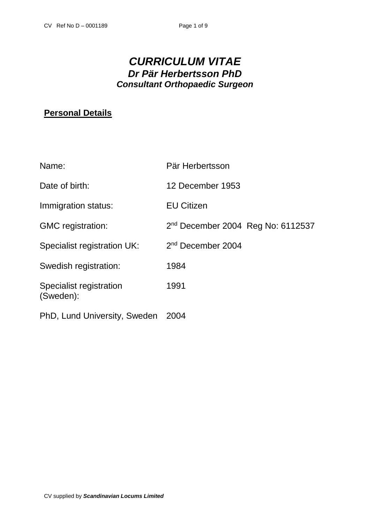# *CURRICULUM VITAE Dr Pär Herbertsson PhD Consultant Orthopaedic Surgeon*

# **Personal Details**

| Name:                                | Pär Herbertsson                     |
|--------------------------------------|-------------------------------------|
| Date of birth:                       | 12 December 1953                    |
| Immigration status:                  | <b>EU Citizen</b>                   |
| <b>GMC</b> registration:             | $2nd$ December 2004 Reg No: 6112537 |
| Specialist registration UK:          | 2 <sup>nd</sup> December 2004       |
| Swedish registration:                | 1984                                |
| Specialist registration<br>(Sweden): | 1991                                |
| PhD, Lund University, Sweden         | 2004                                |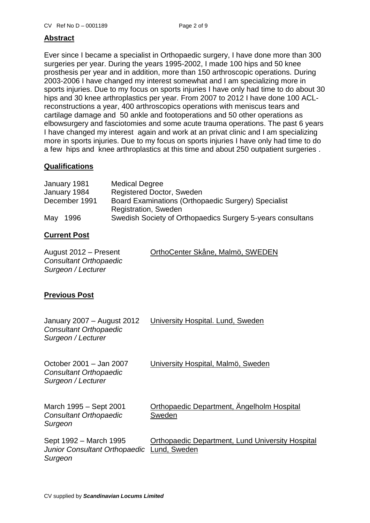# **Abstract**

Ever since I became a specialist in Orthopaedic surgery, I have done more than 300 surgeries per year. During the years 1995-2002, I made 100 hips and 50 knee prosthesis per year and in addition, more than 150 arthroscopic operations. During 2003-2006 I have changed my interest somewhat and I am specializing more in sports injuries. Due to my focus on sports injuries I have only had time to do about 30 hips and 30 knee arthroplastics per year. From 2007 to 2012 I have done 100 ACLreconstructions a year, 400 arthroscopics operations with meniscus tears and cartilage damage and 50 ankle and footoperations and 50 other operations as elbowsurgery and fasciotomies and some acute trauma operations. The past 6 years I have changed my interest again and work at an privat clinic and I am specializing more in sports injuries. Due to my focus on sports injuries I have only had time to do a few hips and knee arthroplastics at this time and about 250 outpatient surgeries .

# **Qualifications**

| January 1981  | <b>Medical Degree</b>                                      |
|---------------|------------------------------------------------------------|
| January 1984  | Registered Doctor, Sweden                                  |
| December 1991 | Board Examinations (Orthopaedic Surgery) Specialist        |
|               | Registration, Sweden                                       |
| May<br>1996   | Swedish Society of Orthopaedics Surgery 5-years consultans |

# **Current Post**

| August 2012 – Present  | OrthoCenter Skåne, Malmö, SWEDEN |
|------------------------|----------------------------------|
| Consultant Orthopaedic |                                  |
| Surgeon / Lecturer     |                                  |

# **Previous Post**

| January 2007 – August 2012<br><b>Consultant Orthopaedic</b><br>Surgeon / Lecturer | University Hospital. Lund, Sweden                                       |
|-----------------------------------------------------------------------------------|-------------------------------------------------------------------------|
| October 2001 - Jan 2007<br><b>Consultant Orthopaedic</b><br>Surgeon / Lecturer    | University Hospital, Malmö, Sweden                                      |
| March 1995 - Sept 2001<br><b>Consultant Orthopaedic</b><br>Surgeon                | Orthopaedic Department, Angelholm Hospital<br>Sweden                    |
| Sept 1992 – March 1995<br>Junior Consultant Orthopaedic<br>Surgeon                | <b>Orthopaedic Department, Lund University Hospital</b><br>Lund, Sweden |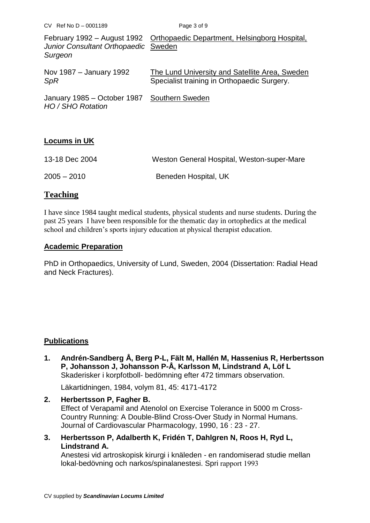| $CV$ Ref No D - 0001189                                          | Page 3 of 9                                                                                   |
|------------------------------------------------------------------|-----------------------------------------------------------------------------------------------|
| Junior Consultant Orthopaedic Sweden<br>Surgeon                  | February 1992 – August 1992 Orthopaedic Department, Helsingborg Hospital,                     |
| Nov 1987 – January 1992<br>SpR                                   | The Lund University and Satellite Area, Sweden<br>Specialist training in Orthopaedic Surgery. |
| January 1985 – October 1987 Southern Sweden<br>HO / SHO Rotation |                                                                                               |

# **Locums in UK**

| 13-18 Dec 2004 | Weston General Hospital, Weston-super-Mare |
|----------------|--------------------------------------------|
| $2005 - 2010$  | Beneden Hospital, UK                       |

# **Teaching**

I have since 1984 taught medical students, physical students and nurse students. During the past 25 years I have been responsible for the thematic day in ortophedics at the medical school and children's sports injury education at physical therapist education.

# **Academic Preparation**

PhD in Orthopaedics, University of Lund, Sweden, 2004 (Dissertation: Radial Head and Neck Fractures).

# **Publications**

**1. Andrén-Sandberg Å, Berg P-L, Fält M, Hallén M, Hassenius R, Herbertsson P, Johansson J, Johansson P-Å, Karlsson M, Lindstrand A, Löf L** Skaderisker i korpfotboll- bedömning efter 472 timmars observation.

Läkartidningen, 1984, volym 81, 45: 4171-4172

- **2. Herbertsson P, Fagher B.** Effect of Verapamil and Atenolol on Exercise Tolerance in 5000 m Cross-Country Running: A Double-Blind Cross-Over Study in Normal Humans. Journal of Cardiovascular Pharmacology, 1990, 16 : 23 - 27.
- **3. Herbertsson P, Adalberth K, Fridén T, Dahlgren N, Roos H, Ryd L, Lindstrand A.**

Anestesi vid artroskopisk kirurgi i knäleden - en randomiserad studie mellan lokal-bedövning och narkos/spinalanestesi. Spri rapport 1993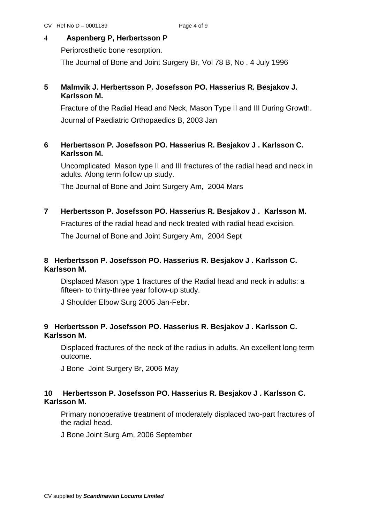# **4 Aspenberg P, Herbertsson P**

Periprosthetic bone resorption.

The Journal of Bone and Joint Surgery Br, Vol 78 B, No . 4 July 1996

# **5 Malmvik J. Herbertsson P. Josefsson PO. Hasserius R. Besjakov J. Karlsson M.**

 Fracture of the Radial Head and Neck, Mason Type II and III During Growth. Journal of Paediatric Orthopaedics B, 2003 Jan

# **6 Herbertsson P. Josefsson PO. Hasserius R. Besjakov J . Karlsson C. Karlsson M.**

Uncomplicated Mason type II and III fractures of the radial head and neck in adults. Along term follow up study.

The Journal of Bone and Joint Surgery Am, 2004 Mars

# **7 Herbertsson P. Josefsson PO. Hasserius R. Besjakov J . Karlsson M.**

Fractures of the radial head and neck treated with radial head excision.

The Journal of Bone and Joint Surgery Am, 2004 Sept

# **8****Herbertsson P. Josefsson PO. Hasserius R. Besjakov J . Karlsson C. Karlsson M.**

Displaced Mason type 1 fractures of the Radial head and neck in adults: a fifteen- to thirty-three year follow-up study.

J Shoulder Elbow Surg 2005 Jan-Febr.

# **9****Herbertsson P. Josefsson PO. Hasserius R. Besjakov J . Karlsson C. Karlsson M.**

Displaced fractures of the neck of the radius in adults. An excellent long term outcome.

J Bone Joint Surgery Br, 2006 May

## **10 Herbertsson P. Josefsson PO. Hasserius R. Besjakov J . Karlsson C. Karlsson M.**

Primary nonoperative treatment of moderately displaced two-part fractures of the radial head.

J Bone Joint Surg Am, 2006 September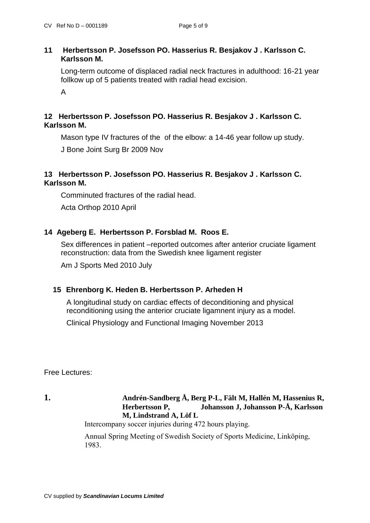## **11 Herbertsson P. Josefsson PO. Hasserius R. Besjakov J . Karlsson C. Karlsson M.**

Long-term outcome of displaced radial neck fractures in adulthood: 16-21 year follkow up of 5 patients treated with radial head excision.

A

# **12****Herbertsson P. Josefsson PO. Hasserius R. Besjakov J . Karlsson C. Karlsson M.**

Mason type IV fractures of the of the elbow: a 14-46 year follow up study. J Bone Joint Surg Br 2009 Nov

# **13****Herbertsson P. Josefsson PO. Hasserius R. Besjakov J . Karlsson C. Karlsson M.**

Comminuted fractures of the radial head.

Acta Orthop 2010 April

# **14****Ageberg E. Herbertsson P. Forsblad M. Roos E.**

Sex differences in patient –reported outcomes after anterior cruciate ligament reconstruction: data from the Swedish knee ligament register

Am J Sports Med 2010 July

# **15 Ehrenborg K. Heden B. Herbertsson P. Arheden H**

A longitudinal study on cardiac effects of deconditioning and physical reconditioning using the anterior cruciate ligamnent injury as a model.

Clinical Physiology and Functional Imaging November 2013

Free Lectures:

## **1. Andrén-Sandberg Å, Berg P-L, Fält M, Hallén M, Hassenius R, Herbertsson P, Johansson J, Johansson P-Å, Karlsson M, Lindstrand A, Löf L**

Intercompany soccer injuries during 472 hours playing.

Annual Spring Meeting of Swedish Society of Sports Medicine, Linköping, 1983.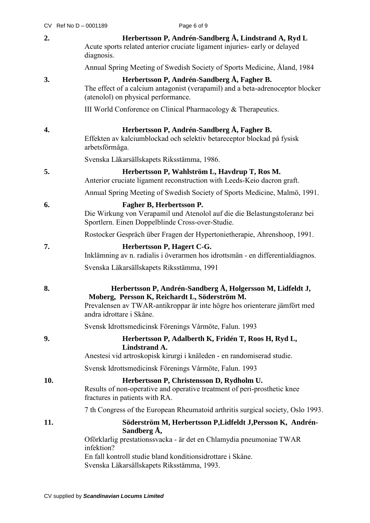|     | CV Ref No D - 0001189 |                | Page 6 of 9                                                                                                                                                                                                                                                   |
|-----|-----------------------|----------------|---------------------------------------------------------------------------------------------------------------------------------------------------------------------------------------------------------------------------------------------------------------|
| 2.  |                       | diagnosis.     | Herbertsson P, Andrén-Sandberg Å, Lindstrand A, Ryd L<br>Acute sports related anterior cruciate ligament injuries- early or delayed                                                                                                                           |
|     |                       |                | Annual Spring Meeting of Swedish Society of Sports Medicine, Åland, 1984                                                                                                                                                                                      |
| 3.  |                       |                | Herbertsson P, Andrén-Sandberg Å, Fagher B.<br>The effect of a calcium antagonist (verapamil) and a beta-adrenoceptor blocker<br>(atenolol) on physical performance.                                                                                          |
|     |                       |                | III World Conforence on Clinical Pharmacology & Therapeutics.                                                                                                                                                                                                 |
| 4.  |                       | arbetsförmåga. | Herbertsson P, Andrén-Sandberg Å, Fagher B.<br>Effekten av kalciumblockad och selektiv betareceptor blockad på fysisk                                                                                                                                         |
|     |                       |                | Svenska Läkarsällskapets Riksstämma, 1986.                                                                                                                                                                                                                    |
| 5.  |                       |                | Herbertsson P, Wahlström L, Havdrup T, Ros M.<br>Anterior cruciate ligament reconstruction with Leeds-Keio dacron graft.                                                                                                                                      |
|     |                       |                | Annual Spring Meeting of Swedish Society of Sports Medicine, Malmö, 1991.                                                                                                                                                                                     |
| 6.  |                       |                | Fagher B, Herbertsson P.<br>Die Wirkung von Verapamil und Atenolol auf die die Belastungstoleranz bei<br>Sportlern. Einen Doppelblinde Cross-over-Studie.                                                                                                     |
|     |                       |                | Rostocker Gespräch über Fragen der Hypertonietherapie, Ahrenshoop, 1991.                                                                                                                                                                                      |
| 7.  |                       |                | Herbertsson P, Hagert C-G.<br>Inklämning av n. radialis i överarmen hos idrottsmän - en differentialdiagnos.                                                                                                                                                  |
|     |                       |                | Svenska Läkarsällskapets Riksstämma, 1991                                                                                                                                                                                                                     |
| 8.  |                       |                | Herbertsson P, Andrén-Sandberg Å, Holgersson M, Lidfeldt J,<br>Moberg, Persson K, Reichardt L, Söderström M.<br>Prevalensen av TWAR-antikroppar är inte högre hos orienterare jämfört med<br>andra idrottare i Skåne.                                         |
|     |                       |                | Svensk Idrottsmedicinsk Förenings Vårmöte, Falun. 1993                                                                                                                                                                                                        |
| 9.  |                       |                | Herbertsson P, Adalberth K, Fridén T, Roos H, Ryd L,<br>Lindstrand A.<br>Anestesi vid artroskopisk kirurgi i knäleden - en randomiserad studie.                                                                                                               |
|     |                       |                | Svensk Idrottsmedicinsk Förenings Vårmöte, Falun. 1993                                                                                                                                                                                                        |
| 10. |                       |                | Herbertsson P, Christensson D, Rydholm U.<br>Results of non-operative and operative treatment of peri-prosthetic knee<br>fractures in patients with RA.                                                                                                       |
|     |                       |                | 7 th Congress of the European Rheumatoid arthritis surgical society, Oslo 1993.                                                                                                                                                                               |
| 11. |                       | infektion?     | Söderström M, Herbertsson P, Lidfeldt J, Persson K, Andrén-<br>Sandberg Å,<br>Oförklarlig prestationssvacka - är det en Chlamydia pneumoniae TWAR<br>En fall kontroll studie bland konditionsidrottare i Skåne.<br>Svenska Läkarsällskapets Riksstämma, 1993. |
|     |                       |                |                                                                                                                                                                                                                                                               |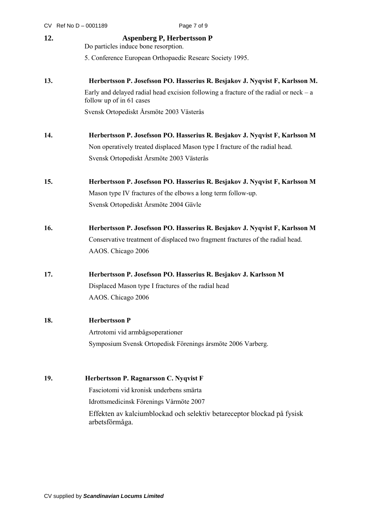|     | CV Ref No D - 0001189                                                     | Page 7 of 9                                                                             |
|-----|---------------------------------------------------------------------------|-----------------------------------------------------------------------------------------|
| 12. | <b>Aspenberg P, Herbertsson P</b><br>Do particles induce bone resorption. |                                                                                         |
|     |                                                                           | 5. Conference European Orthopaedic Researc Society 1995.                                |
| 13. |                                                                           | Herbertsson P. Josefsson PO. Hasserius R. Besjakov J. Nyqvist F, Karlsson M.            |
|     | follow up of in 61 cases                                                  | Early and delayed radial head excision following a fracture of the radial or $neck - a$ |
|     |                                                                           | Svensk Ortopediskt Årsmöte 2003 Västerås                                                |
| 14. |                                                                           | Herbertsson P. Josefsson PO. Hasserius R. Besjakov J. Nyqvist F, Karlsson M             |
|     |                                                                           | Non operatively treated displaced Mason type I fracture of the radial head.             |
|     |                                                                           | Svensk Ortopediskt Årsmöte 2003 Västerås                                                |
| 15. |                                                                           | Herbertsson P. Josefsson PO. Hasserius R. Besjakov J. Nyqvist F, Karlsson M             |
|     |                                                                           | Mason type IV fractures of the elbows a long term follow-up.                            |
|     |                                                                           | Svensk Ortopediskt Årsmöte 2004 Gävle                                                   |
| 16. |                                                                           | Herbertsson P. Josefsson PO. Hasserius R. Besjakov J. Nyqvist F, Karlsson M             |
|     |                                                                           | Conservative treatment of displaced two fragment fractures of the radial head.          |
|     | AAOS. Chicago 2006                                                        |                                                                                         |
| 17. |                                                                           | Herbertsson P. Josefsson PO. Hasserius R. Besjakov J. Karlsson M                        |
|     |                                                                           | Displaced Mason type I fractures of the radial head                                     |
|     | AAOS. Chicago 2006                                                        |                                                                                         |
| 18. | <b>Herbertsson P</b>                                                      |                                                                                         |
|     | Artrotomi vid armbågsoperationer                                          |                                                                                         |
|     |                                                                           | Symposium Svensk Ortopedisk Förenings årsmöte 2006 Varberg.                             |
| 19. |                                                                           | Herbertsson P. Ragnarsson C. Nyqvist F                                                  |
|     |                                                                           | Fasciotomi vid kronisk underbens smärta                                                 |
|     |                                                                           | Idrottsmedicinsk Förenings Vårmöte 2007                                                 |
|     | arbetsförmåga.                                                            | Effekten av kalciumblockad och selektiv betareceptor blockad på fysisk                  |
|     |                                                                           |                                                                                         |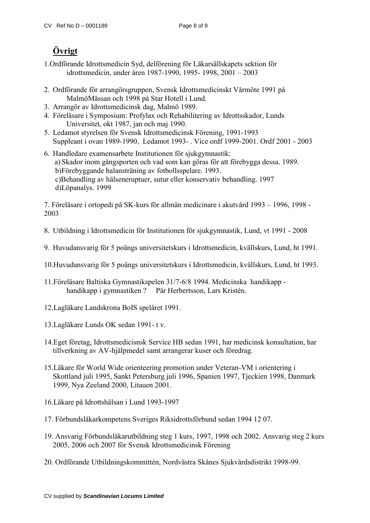# **Övrigt**

- 1.Ordförande Idrottsmedicin Syd, delförening för Läkarsällskapets sektion för idrottsmedicin, under åren 1987-1990, 1995- 1998, 2001 – 2003
- 2. Ordförande för arrangörsgruppen, Svensk Idrottsmedicinskt Vårmöte 1991 på MalmöMässan och 1998 på Star Hotell i Lund.
- 3. Arrangör av Idrottsmedicinsk dag, Malmö 1989.
- 4. Föreläsare i Symposium: Profylax och Rehabilitering av Idrottsskador, Lunds Universitet, okt 1987, jan och maj 1990.
- 5. Ledamot styrelsen för Svensk Idrottsmedicinsk Förening, 1991-1993 Suppleant i ovan 1989-1990, Ledamot 1993- . Vice ordf 1999-2001. Ordf 2001 - 2003
- 6. Handledare examensarbete Institutionen för sjukgymnastik:
	- a) Skador inom gångsporten och vad som kan göras för att förebygga dessa. 1989.
	- b)Förebyggande balansträning av fotbollsspelare. 1993.
	- c)Behandling av hälseneruptuer, sutur eller konservativ behandling. 1997
	- d)Löpanalys. 1999

7. Föreläsare i ortopedi på SK-kurs för allmän medicinare i akutvård 1993 – 1996, 1998 - 2003

- 8. Utbildning i Idrottsmedicin för Institutionen för sjukgymnastik, Lund, vt 1991 2008
- 9. Huvudansvarig för 5 poängs universitetskurs i Idrottsmedicin, kvällskurs, Lund, ht 1991.
- 10.Huvudansvarig för 5 poängs universitetskurs i Idrottsmedicin, kvällskurs, Lund, ht 1993.
- 11.Föreläsare Baltiska Gymnastikspelen 31/7-6/8 1994. Medicinska handikapp handikapp i gymnastiken ? Pär Herbertsson, Lars Kristén.
- 12.Lagläkare Landskrona BoIS spelåret 1991.
- 13.Lagläkare Lunds OK sedan 1991- t v.
- 14.Eget företag, Idrottsmedicisnsk Service HB sedan 1991, har medicinsk konsultation, har tillverkning av AV-hjälpmedel samt arrangerar kuser och föredrag.
- 15.Läkare för World Wide orienteering promotion under Veteran-VM i orientering i Skottland juli 1995, Sankt Petersburg juli 1996, Spanien 1997, Tjeckien 1998, Danmark 1999, Nya Zeeland 2000, Litauen 2001.
- 16.Läkare på Idrottshälsan i Lund 1993-1997
- 17. Förbundsläkarkompetens Sveriges Riksidrottsförbund sedan 1994 12 07.
- 19. Ansvarig Förbundsläkarutbildning steg 1 kurs, 1997, 1998 och 2002. Ansvarig steg 2 kurs 2005, 2006 och 2007 för Svensk Idrottsmedicinsk Förening
- 20. Ordförande Utbildningskommittén, Nordvästra Skånes Sjukvårdsdistrikt 1998-99.